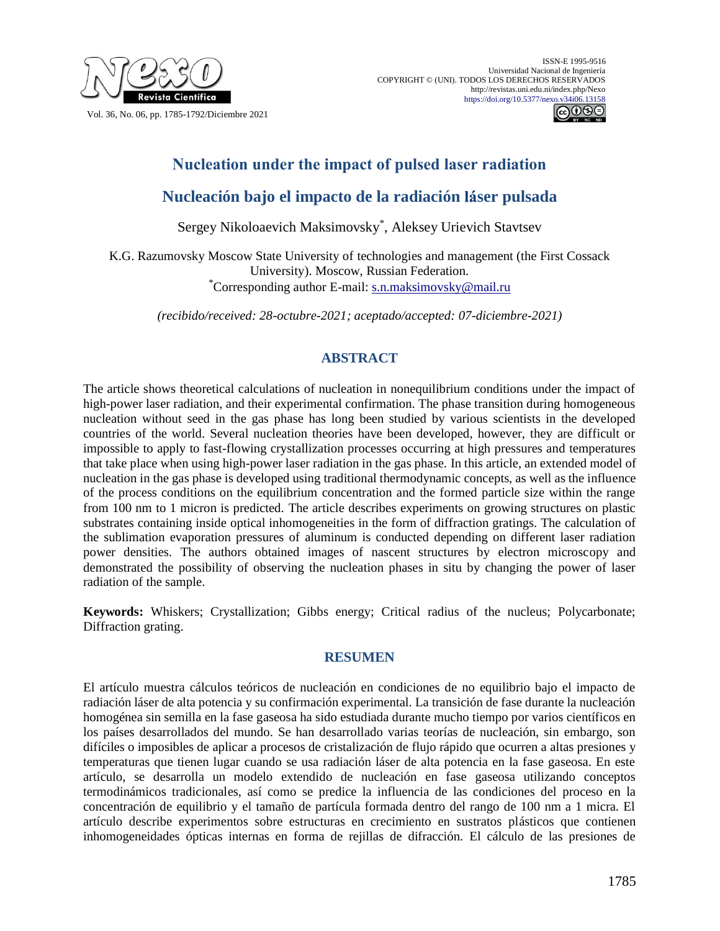



## **Nucleation under the impact of pulsed laser radiation**

# **Nucleación bajo el impacto de la radiación láser pulsada**

Sergey Nikoloaevich Maksimovsky\* , Aleksey Urievich Stavtsev

K.G. Razumovsky Moscow State University of technologies and management (the First Cossack University). Moscow, Russian Federation. \*Corresponding author E-mail: [s.n.maksimovsky@mail.ru](mailto:s.n.maksimovsky@mail.ru)

*(recibido/received: 28-octubre-2021; aceptado/accepted: 07-diciembre-2021)*

## **ABSTRACT**

The article shows theoretical calculations of nucleation in nonequilibrium conditions under the impact of high-power laser radiation, and their experimental confirmation. The phase transition during homogeneous nucleation without seed in the gas phase has long been studied by various scientists in the developed countries of the world. Several nucleation theories have been developed, however, they are difficult or impossible to apply to fast-flowing crystallization processes occurring at high pressures and temperatures that take place when using high-power laser radiation in the gas phase. In this article, an extended model of nucleation in the gas phase is developed using traditional thermodynamic concepts, as well as the influence of the process conditions on the equilibrium concentration and the formed particle size within the range from 100 nm to 1 micron is predicted. The article describes experiments on growing structures on plastic substrates containing inside optical inhomogeneities in the form of diffraction gratings. The calculation of the sublimation evaporation pressures of aluminum is conducted depending on different laser radiation power densities. The authors obtained images of nascent structures by electron microscopy and demonstrated the possibility of observing the nucleation phases in situ by changing the power of laser radiation of the sample.

**Keywords:** Whiskers; Crystallization; Gibbs energy; Critical radius of the nucleus; Polycarbonate; Diffraction grating.

## **RESUMEN**

El artículo muestra cálculos teóricos de nucleación en condiciones de no equilibrio bajo el impacto de radiación láser de alta potencia y su confirmación experimental. La transición de fase durante la nucleación homogénea sin semilla en la fase gaseosa ha sido estudiada durante mucho tiempo por varios científicos en los países desarrollados del mundo. Se han desarrollado varias teorías de nucleación, sin embargo, son difíciles o imposibles de aplicar a procesos de cristalización de flujo rápido que ocurren a altas presiones y temperaturas que tienen lugar cuando se usa radiación láser de alta potencia en la fase gaseosa. En este artículo, se desarrolla un modelo extendido de nucleación en fase gaseosa utilizando conceptos termodinámicos tradicionales, así como se predice la influencia de las condiciones del proceso en la concentración de equilibrio y el tamaño de partícula formada dentro del rango de 100 nm a 1 micra. El artículo describe experimentos sobre estructuras en crecimiento en sustratos plásticos que contienen inhomogeneidades ópticas internas en forma de rejillas de difracción. El cálculo de las presiones de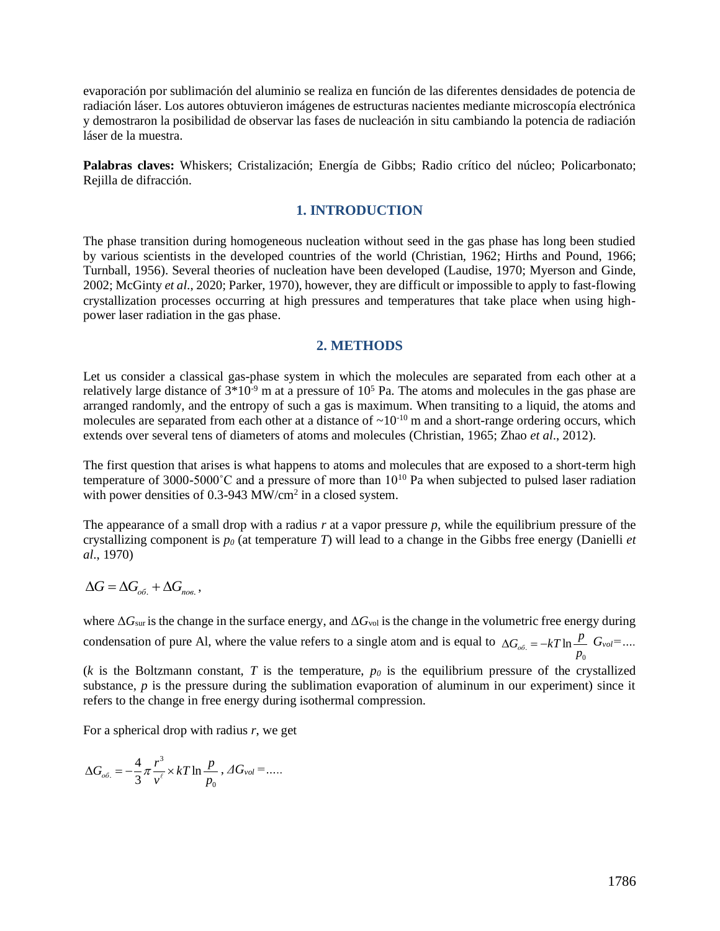evaporación por sublimación del aluminio se realiza en función de las diferentes densidades de potencia de radiación láser. Los autores obtuvieron imágenes de estructuras nacientes mediante microscopía electrónica y demostraron la posibilidad de observar las fases de nucleación in situ cambiando la potencia de radiación láser de la muestra.

**Palabras claves:** Whiskers; Cristalización; Energía de Gibbs; Radio crítico del núcleo; Policarbonato; Rejilla de difracción.

#### **1. INTRODUCTION**

The phase transition during homogeneous nucleation without seed in the gas phase has long been studied by various scientists in the developed countries of the world (Christian, 1962; Hirths and Pound, 1966; Turnball, 1956). Several theories of nucleation have been developed (Laudise, 1970; Myerson and Ginde, 2002; McGinty *et al*., 2020; Parker, 1970), however, they are difficult or impossible to apply to fast-flowing crystallization processes occurring at high pressures and temperatures that take place when using highpower laser radiation in the gas phase.

#### **2. METHODS**

Let us consider a classical gas-phase system in which the molecules are separated from each other at a relatively large distance of  $3*10<sup>-9</sup>$  m at a pressure of  $10<sup>5</sup>$  Pa. The atoms and molecules in the gas phase are arranged randomly, and the entropy of such a gas is maximum. When transiting to a liquid, the atoms and molecules are separated from each other at a distance of  $\sim 10^{-10}$  m and a short-range ordering occurs, which extends over several tens of diameters of atoms and molecules (Christian, 1965; Zhao *et al*., 2012).

The first question that arises is what happens to atoms and molecules that are exposed to a short-term high temperature of 3000-5000°C and a pressure of more than  $10^{10}$  Pa when subjected to pulsed laser radiation with power densities of 0.3-943 MW/cm<sup>2</sup> in a closed system.

The appearance of a small drop with a radius  $r$  at a vapor pressure  $p$ , while the equilibrium pressure of the crystallizing component is  $p_0$  (at temperature *T*) will lead to a change in the Gibbs free energy (Danielli *et al*., 1970)

$$
\Delta G = \Delta G_{\rm oo} + \Delta G_{\rm noo} \,,
$$

where  $\Delta G_{\rm sur}$  is the change in the surface energy, and  $\Delta G_{\rm vol}$  is the change in the volumetric free energy during condensation of pure Al, where the value refers to a single atom and is equal to  $\Delta G_{oo} = -kT \ln \frac{P}{r} G_{vol} = ...$ *p*  $\Delta G_{oo} = -kT \ln \frac{p}{r}$ 

 $(k$  is the Boltzmann constant,  $T$  is the temperature,  $p<sub>0</sub>$  is the equilibrium pressure of the crystallized substance,  $p$  is the pressure during the sublimation evaporation of aluminum in our experiment) since it refers to the change in free energy during isothermal compression.

For a spherical drop with radius *r*, we get

$$
\Delta G_{\sigma\tilde{\sigma}} = -\frac{4}{3}\pi \frac{r^3}{v^{\ell}} \times kT \ln \frac{p}{p_0}, \Delta G_{vol} = \dots
$$

0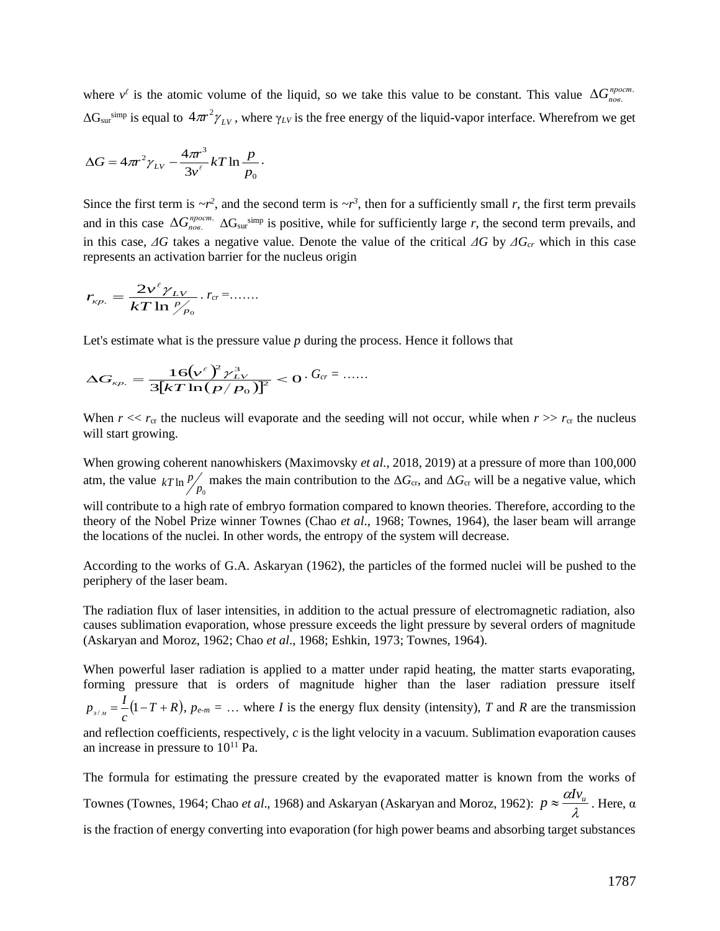where  $v^{\ell}$  is the atomic volume of the liquid, so we take this value to be constant. This value  $\Delta G_{\text{noss}}^{\text{npocm}}$  $\Delta G_{\rm sur}$ <sup>simp</sup> is equal to  $4\pi r^2 \gamma_{LV}$ , where  $\gamma_{LV}$  is the free energy of the liquid-vapor interface. Wherefrom we get  $\Delta G_{nos.}^{npocm}$ 

$$
\Delta G = 4\pi r^2 \gamma_{LV} - \frac{4\pi r^3}{3v^{\ell}} kT \ln \frac{p}{p_0}.
$$

Since the first term is  $\sim r^2$ , and the second term is  $\sim r^3$ , then for a sufficiently small *r*, the first term prevails and in this case  $\Delta G_{nog}^{npocm}$ .  $\Delta G_{\text{sur}}^{simp}$  is positive, while for sufficiently large *r*, the second term prevails, and in this case, *ΔG* takes a negative value. Denote the value of the critical *ΔG* by *ΔGcr* which in this case represents an activation barrier for the nucleus origin  $\Delta G_{\textit{nos.}}^{\textit{npocm}}$ 

$$
r_{\scriptscriptstyle \kappa p.} = \frac{2v^{\scriptscriptstyle \ell} \gamma_{\scriptscriptstyle LV}}{kT\ln {\scriptscriptstyle P_{\scriptscriptstyle P_0}}}.{\scriptstyle r_{\scriptscriptstyle CT}} = .......
$$

Let's estimate what is the pressure value *p* during the process. Hence it follows that

$$
\Delta G_{_{\kappa p.}} = \frac{16 (v^{\ell})^2 \gamma_{_{LV}}^3}{3 [kT \ln (p/p_0)]^2} < 0. \, G_{cr} = \dots
$$

When  $r \ll r_{cr}$  the nucleus will evaporate and the seeding will not occur, while when  $r \gg r_{cr}$  the nucleus will start growing.

When growing coherent nanowhiskers (Maximovsky *et al*., 2018, 2019) at a pressure of more than 100,000 atm, the value  $kT \ln \frac{p}{p_0}$  makes the main contribution to the  $\Delta G_{cr}$ , and  $\Delta G_{cr}$  will be a negative value, which will contribute to a high rate of embryo formation compared to known theories. Therefore, according to the theory of the Nobel Prize winner Townes (Chao *et al*., 1968; Townes, 1964), the laser beam will arrange the locations of the nuclei. In other words, the entropy of the system will decrease.  $kT \ln \frac{p}{q}$ 

According to the works of G.A. Askaryan (1962), the particles of the formed nuclei will be pushed to the periphery of the laser beam.

The radiation flux of laser intensities, in addition to the actual pressure of electromagnetic radiation, also causes sublimation evaporation, whose pressure exceeds the light pressure by several orders of magnitude (Askaryan and Moroz, 1962; Chao *et al*., 1968; Eshkin, 1973; Townes, 1964).

When powerful laser radiation is applied to a matter under rapid heating, the matter starts evaporating, forming pressure that is orders of magnitude higher than the laser radiation pressure itself  $(p-T+R)$ ,  $p_{e-m} = \ldots$  where *I* is the energy flux density (intensity), *T* and *R* are the transmission and reflection coefficients, respectively, *c* is the light velocity in a vacuum. Sublimation evaporation causes an increase in pressure to  $10^{11}$  Pa. *c*  $p_{\rho/M} = \frac{I}{I} (1 - T +$ 

The formula for estimating the pressure created by the evaporated matter is known from the works of Townes (Townes, 1964; Chao *et al.*, 1968) and Askaryan (Askaryan and Moroz, 1962):  $p \approx \frac{m \lambda}{\lambda}$ . Here, α is the fraction of energy converting into evaporation (for high power beams and absorbing target substances  $p \approx \frac{\alpha I v_u}{2}$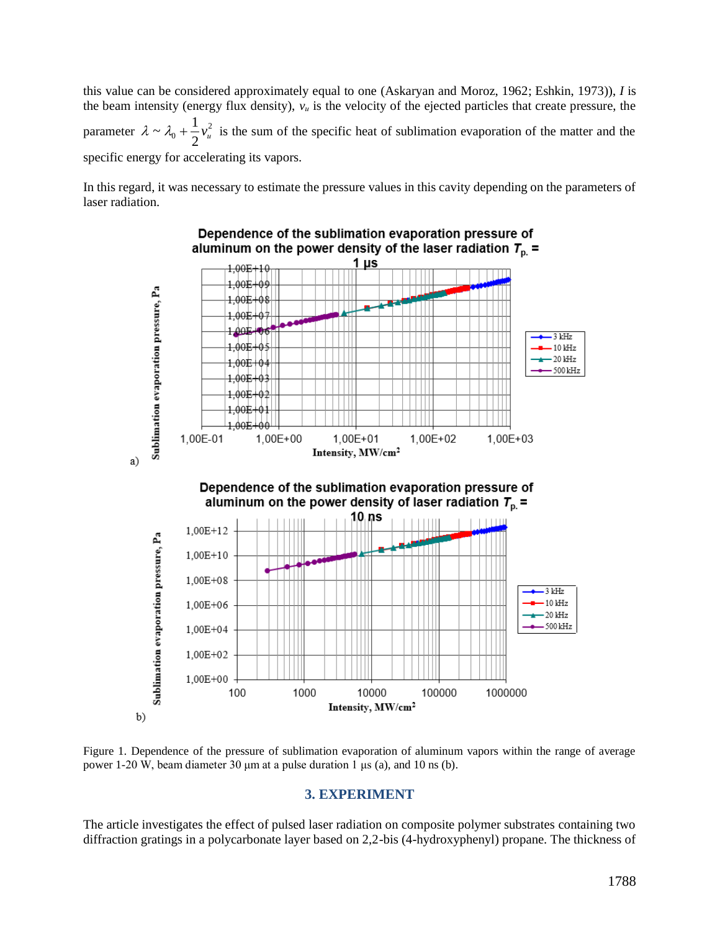this value can be considered approximately equal to one (Askaryan and Moroz, 1962; Eshkin, 1973)), *I* is the beam intensity (energy flux density), *v<sup>и</sup>* is the velocity of the ejected particles that create pressure, the parameter  $\lambda \sim \lambda_0 + \frac{1}{2}v_u^2$  is the sum of the specific heat of sublimation evaporation of the matter and the specific energy for accelerating its vapors.  $^{\circ}$ <sup>-</sup>  $\frac{1}{2}$  $\lambda \sim \lambda_0 + \frac{1}{2}v_u^2$ 

In this regard, it was necessary to estimate the pressure values in this cavity depending on the parameters of laser radiation.



Figure 1. Dependence of the pressure of sublimation evaporation of aluminum vapors within the range of average power 1-20 W, beam diameter 30 μm at a pulse duration 1 μs (a), and 10 ns (b).

#### **3. EXPERIMENT**

The article investigates the effect of pulsed laser radiation on composite polymer substrates containing two diffraction gratings in a polycarbonate layer based on 2,2-bis (4-hydroxyphenyl) propane. The thickness of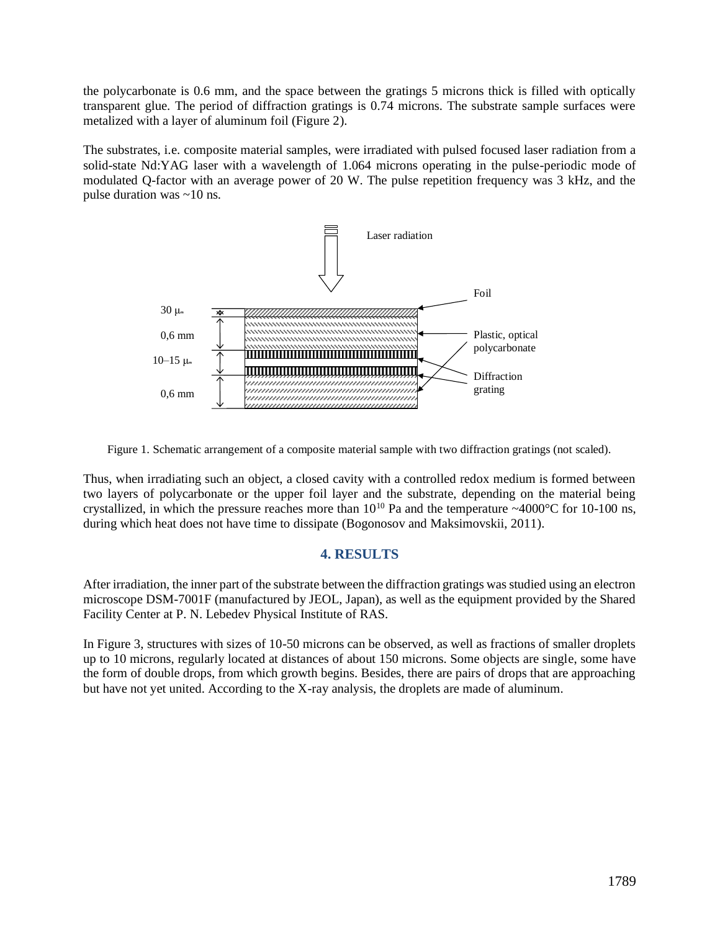the polycarbonate is 0.6 mm, and the space between the gratings 5 microns thick is filled with optically transparent glue. The period of diffraction gratings is 0.74 microns. The substrate sample surfaces were metalized with a layer of aluminum foil (Figure 2).

The substrates, i.e. composite material samples, were irradiated with pulsed focused laser radiation from a solid-state Nd:YAG laser with a wavelength of 1.064 microns operating in the pulse-periodic mode of modulated Q-factor with an average power of 20 W. The pulse repetition frequency was 3 kHz, and the pulse duration was ~10 ns.



Figure 1. Schematic arrangement of a composite material sample with two diffraction gratings (not scaled).

Thus, when irradiating such an object, a closed cavity with a controlled redox medium is formed between two layers of polycarbonate or the upper foil layer and the substrate, depending on the material being crystallized, in which the pressure reaches more than 10<sup>10</sup> Pa and the temperature ~4000°C for 10-100 ns, during which heat does not have time to dissipate (Bogonosov and Maksimovskii, 2011).

## **4. RESULTS**

After irradiation, the inner part of the substrate between the diffraction gratings was studied using an electron microscope DSM-7001F (manufactured by JEOL, Japan), as well as the equipment provided by the Shared Facility Center at P. N. Lebedev Physical Institute of RAS.

In Figure 3, structures with sizes of 10-50 microns can be observed, as well as fractions of smaller droplets up to 10 microns, regularly located at distances of about 150 microns. Some objects are single, some have the form of double drops, from which growth begins. Besides, there are pairs of drops that are approaching but have not yet united. According to the X-ray analysis, the droplets are made of aluminum.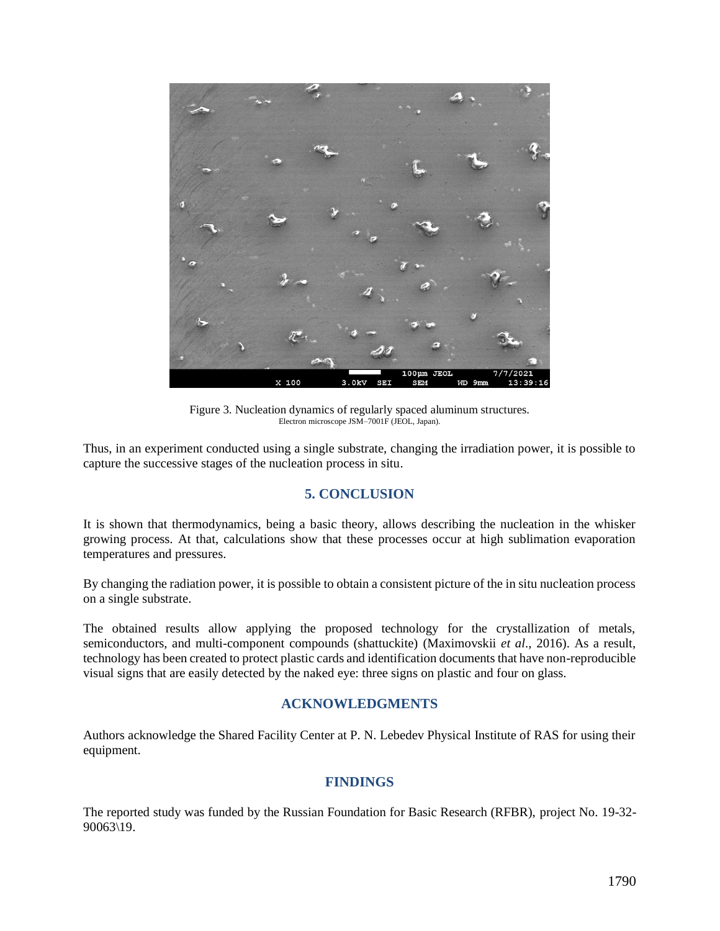

Figure 3. Nucleation dynamics of regularly spaced aluminum structures. Electron microscope JSM–7001F (JEOL, Japan).

Thus, in an experiment conducted using a single substrate, changing the irradiation power, it is possible to capture the successive stages of the nucleation process in situ.

## **5. CONCLUSION**

It is shown that thermodynamics, being a basic theory, allows describing the nucleation in the whisker growing process. At that, calculations show that these processes occur at high sublimation evaporation temperatures and pressures.

By changing the radiation power, it is possible to obtain a consistent picture of the in situ nucleation process on a single substrate.

The obtained results allow applying the proposed technology for the crystallization of metals, semiconductors, and multi-component compounds (shattuckite) (Maximovskii *et al*., 2016). As a result, technology has been created to protect plastic cards and identification documents that have non-reproducible visual signs that are easily detected by the naked eye: three signs on plastic and four on glass.

## **ACKNOWLEDGMENTS**

Authors acknowledge the Shared Facility Center at P. N. Lebedev Physical Institute of RAS for using their equipment.

## **FINDINGS**

The reported study was funded by the Russian Foundation for Basic Research (RFBR), project No. 19-32- 90063\19.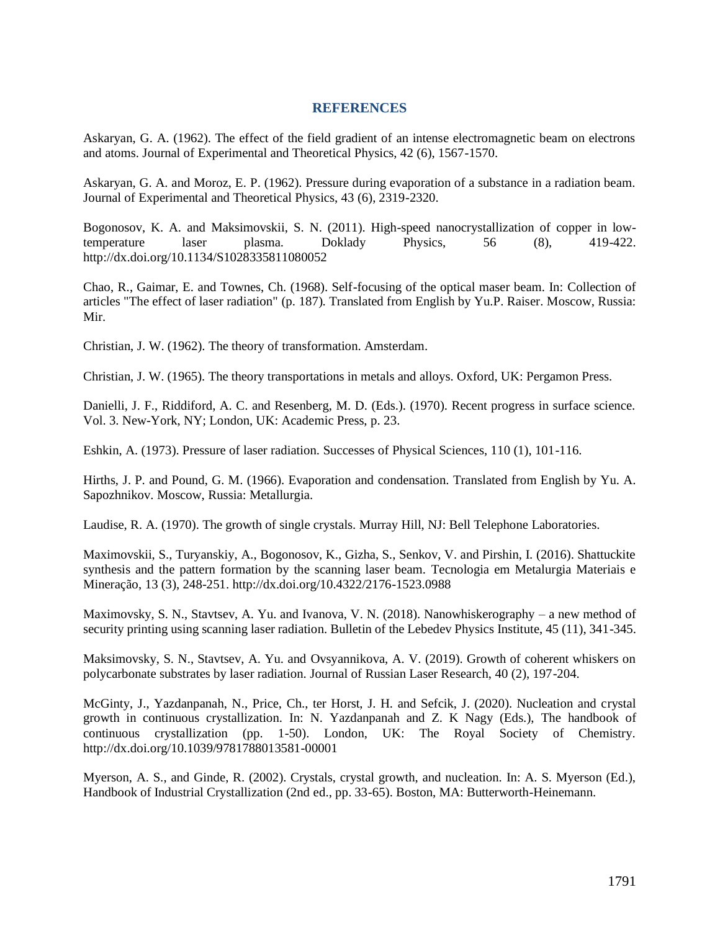### **REFERENCES**

Askaryan, G. A. (1962). The effect of the field gradient of an intense electromagnetic beam on electrons and atoms. Journal of Experimental and Theoretical Physics, 42 (6), 1567-1570.

Askaryan, G. A. and Moroz, E. P. (1962). Pressure during evaporation of a substance in a radiation beam. Journal of Experimental and Theoretical Physics, 43 (6), 2319-2320.

Bogonosov, K. A. and Maksimovskii, S. N. (2011). High-speed nanocrystallization of copper in lowtemperature laser plasma. Doklady Physics, 56 (8), 419-422. http://dx.doi.org/10.1134/S1028335811080052

Chao, R., Gaimar, E. and Townes, Ch. (1968). Self-focusing of the optical maser beam. In: Collection of articles "The effect of laser radiation" (p. 187). Translated from English by Yu.P. Raiser. Moscow, Russia: Mir.

Christian, J. W. (1962). The theory of transformation. Amsterdam.

Christian, J. W. (1965). The theory transportations in metals and alloys. Oxford, UK: Pergamon Press.

Danielli, J. F., Riddiford, A. C. and Resenberg, M. D. (Eds.). (1970). Recent progress in surface science. Vol. 3. New-York, NY; London, UK: Academic Press, p. 23.

Eshkin, A. (1973). Pressure of laser radiation. Successes of Physical Sciences, 110 (1), 101-116.

Hirths, J. P. and Pound, G. M. (1966). Evaporation and condensation. Translated from English by Yu. A. Sapozhnikov. Moscow, Russia: Metallurgia.

Laudise, R. A. (1970). The growth of single crystals. Murray Hill, NJ: Bell Telephone Laboratories.

Maximovskii, S., Turyanskiy, A., Bogonosov, K., Gizha, S., Senkov, V. and Pirshin, I. (2016). Shattuckite synthesis and the pattern formation by the scanning laser beam. Tecnologia em Metalurgia Materiais e Mineração, 13 (3), 248-251. http://dx.doi.org/10.4322/2176-1523.0988

Maximovsky, S. N., Stavtsev, A. Yu. and Ivanova, V. N. (2018). Nanowhiskerography – a new method of security printing using scanning laser radiation. Bulletin of the Lebedev Physics Institute, 45 (11), 341-345.

Maksimovsky, S. N., Stavtsev, A. Yu. and Ovsyannikova, A. V. (2019). Growth of coherent whiskers on polycarbonate substrates by laser radiation. Journal of Russian Laser Research, 40 (2), 197-204.

McGinty, J., Yazdanpanah, N., Price, Ch., ter Horst, J. H. and Sefcik, J. (2020). Nucleation and crystal growth in continuous crystallization. In: N. Yazdanpanah and Z. K Nagy (Eds.), The handbook of continuous crystallization (pp. 1-50). London, UK: The Royal Society of Chemistry. http://dx.doi.org/10.1039/9781788013581-00001

Myerson, A. S., and Ginde, R. (2002). Crystals, crystal growth, and nucleation. In: A. S. Myerson (Ed.), Handbook of Industrial Crystallization (2nd ed., pp. 33-65). Boston, MA: Butterworth-Heinemann.